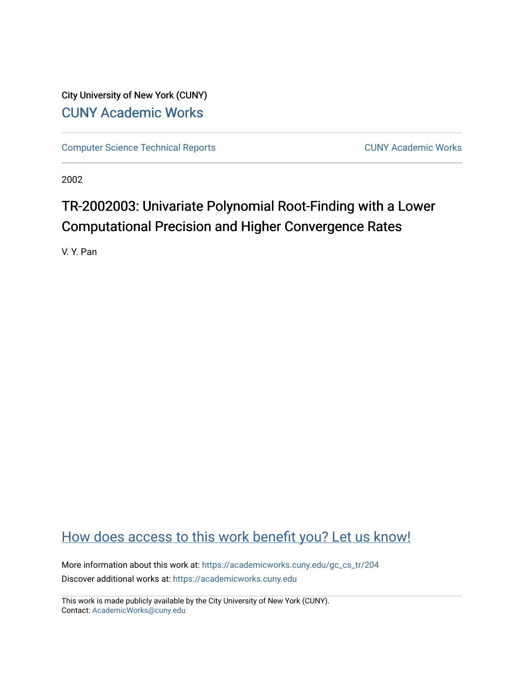City University of New York (CUNY) [CUNY Academic Works](https://academicworks.cuny.edu/) 

[Computer Science Technical Reports](https://academicworks.cuny.edu/gc_cs_tr) **CUNY Academic Works** CUNY Academic Works

2002

# TR-2002003: Univariate Polynomial Root-Finding with a Lower Computational Precision and Higher Convergence Rates

V. Y. Pan

## [How does access to this work benefit you? Let us know!](http://ols.cuny.edu/academicworks/?ref=https://academicworks.cuny.edu/gc_cs_tr/204)

More information about this work at: [https://academicworks.cuny.edu/gc\\_cs\\_tr/204](https://academicworks.cuny.edu/gc_cs_tr/204)  Discover additional works at: [https://academicworks.cuny.edu](https://academicworks.cuny.edu/?)

This work is made publicly available by the City University of New York (CUNY). Contact: [AcademicWorks@cuny.edu](mailto:AcademicWorks@cuny.edu)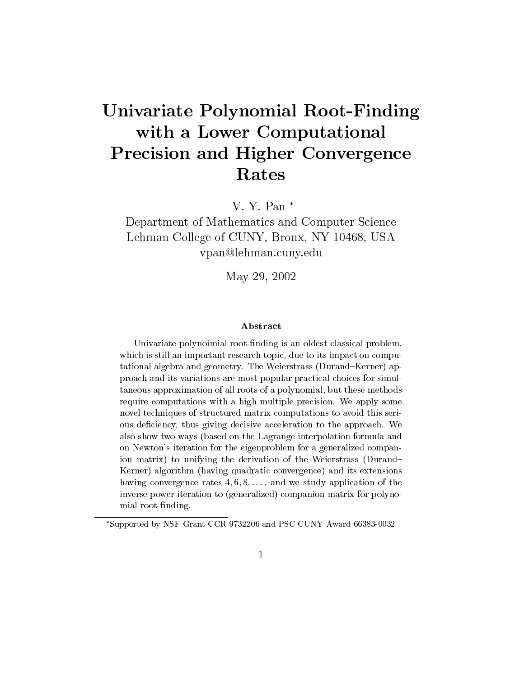# Univariate Polynomial Root-Finding with a Lowest computation  $\mathcal{L}$  and  $\mathcal{L}$  and  $\mathcal{L}$  are  $\mathcal{L}$  and  $\mathcal{L}$ Precision and Higher Convergence Rates

V. Y. Pan

Department of Mathematics and Computer Science Lehman College of CUNY, Bronx, NY 10468, USA vpan@lehman.cuny.edu

May 29, 2002

#### Abstract

Univariate polynoimial root-finding is an oldest classical problem, which is still an important research topic, due to its impact on computational algebra and geometry. The Weierstrass (Durand{Kerner) approach and its variations are most popular practical choices for simultaneous approximation of all roots of a polynomial, but these methodsrequire computations with a high multiple precision. We apply some novel techniques of structured matrix computations to avoid this serious deciency, thus giving decisive acceleration to the approach. We also show two ways (based on the Lagrange interpolation formula andon Newton's iteration for the eigenproblem for a generalized companion matrix) to unifying the derivation of the Weierstrass (Durand{  ${\rm rect}$  algorithm (having quadratic convergence) and its extensions having convergence rates 4; 6; 8;::: , and we study application of the inverse power iteration to (generalized) companion matrix for polynomial root-finding.

Supported by NSF Grant CCR 9732206 and PSC CUNY Award 66383-0032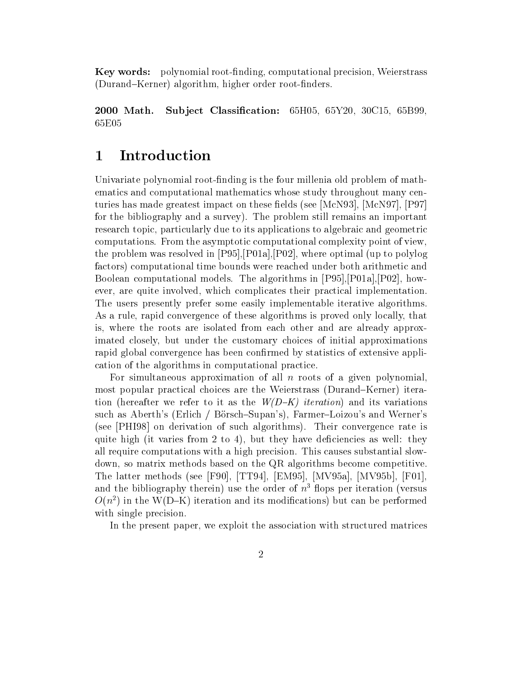Key words: polynomial root-nding, computational precision, Weierstrass (Durand-Kerner) algorithm, higher order root-finders.

2000 Math. Subject Classification:  $65H05, 65Y20, 30C15, 65B99$ , 65E05

#### $\mathbf 1$ Introduction

Univariate polynomial root-finding is the four millenia old problem of mathematics and computational mathematics whose study throughout many centuries has made greatest impact on these fields (see  $|\text{McN93}|$ ,  $|\text{McN97}|$ ,  $|\text{P97}|$ for the bibliography and a survey). The problem still remains an important research topic, particularly due to its applications to algebraic and geometric computations. From the asymptotic computational complexity point of view, the problem was resolved in [P95],[P01a],[P02], where optimal (up to polylog factors) computational time bounds were reached under both arithmetic and Boolean computational models. The algorithms in [P95],[P01a],[P02], however, are quite involved, which complicates their practical implementation. The users presently prefer some easily implementable iterative algorithms. As a rule, rapid convergence of these algorithms is proved only locally, that is, where the roots are isolated from each other and are already approximated closely, but under the customary choices of initial approximations rapid global convergence has been confirmed by statistics of extensive application of the algorithms in computational practice.

For simultaneous approximation of all  $n$  roots of a given polynomial, most popular practical choices are the Weierstrass (Durand–Kerner) iteration (hereafter we refer to it as the  $W(D-K)$  *iteration*) and its variations such as Aberth's (Erlich / Börsch–Supan's), Farmer–Loizou's and Werner's (see [PHI98] on derivation of such algorithms). Their convergence rate is quite high (it varies from 2 to 4), but they have deficiencies as well: they all require computations with a high precision. This causes substantial slowdown, so matrix methods based on the QR algorithms become competitive. The latter methods (see [F90], [TT94], [EM95], [MV95a], [MV95b], [F01], and the bibliography therein) use the order of  $n<sup>3</sup>$  flops per iteration (versus  $O(n^2)$  in the W(D-K) iteration and its modifications) but can be performed with single precision.

In the present paper, we exploit the association with structured matrices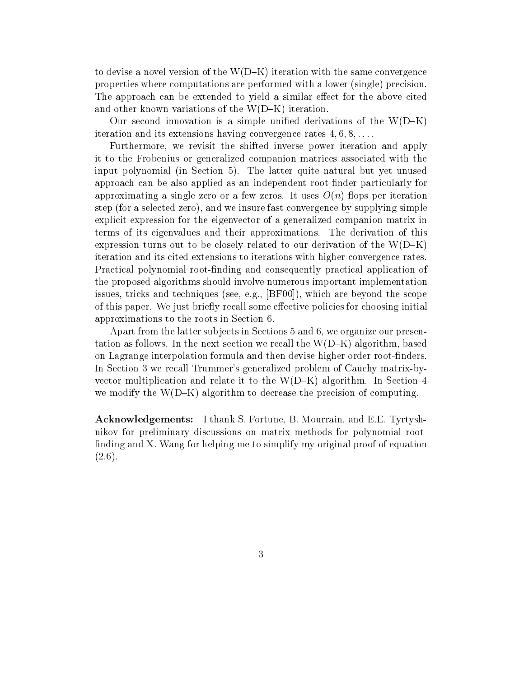to devise a novel version of the  $W(D-K)$  iteration with the same convergence properties where computations are performed with a lower (single) precision. The approach can be extended to yield a similar effect for the above cited and other known variations of the  $W(D-K)$  iteration.

Our second innovation is a simple unified derivations of the  $W(D-K)$ iteration and its extensions having convergence rates  $4, 6, 8, \ldots$ .

Furthermore, we revisit the shifted inverse power iteration and apply it to the Frobenius or generalized companion matrices associated with the input polynomial (in Section 5). The latter quite natural but yet unused approach can be also applied as an independent root-nder particularly for approximating a single zero or a few zeros. It uses  $O(n)$  flops per iteration step (for a selected zero), and we insure fast convergence by supplying simple explicit expression for the eigenvector of a generalized companion matrix in terms of its eigenvalues and their approximations. The derivation of this expression turns out to be closely related to our derivation of the  $W(D-K)$ iteration and its cited extensions to iterations with higher convergence rates. Practical polynomial root-nding and consequently practical application of the proposed algorithms should involve numerous important implementation issues, tricks and techniques (see, e.g., [BF00]), which are beyond the scope of this paper. We just briefly recall some effective policies for choosing initial approximations to the roots in Section 6.

Apart from the latter subjects in Sections 5 and 6, we organize our presentation as follows. In the next section we recall the  $W(D-K)$  algorithm, based on Lagrange interpolation formula and then devise higher order root-finders. In Section 3 we recall Trummer's generalized problem of Cauchy matrix-byvector multiplication and relate it to the  $W(D-K)$  algorithm. In Section 4 we modify the  $W(D-K)$  algorithm to decrease the precision of computing.

Acknowledgements: I thank S. Fortune, B. Mourrain, and E.E. Tyrtyshnikov for preliminary discussions on matrix methods for polynomial root finding and X. Wang for helping me to simplify my original proof of equation  $(2.6).$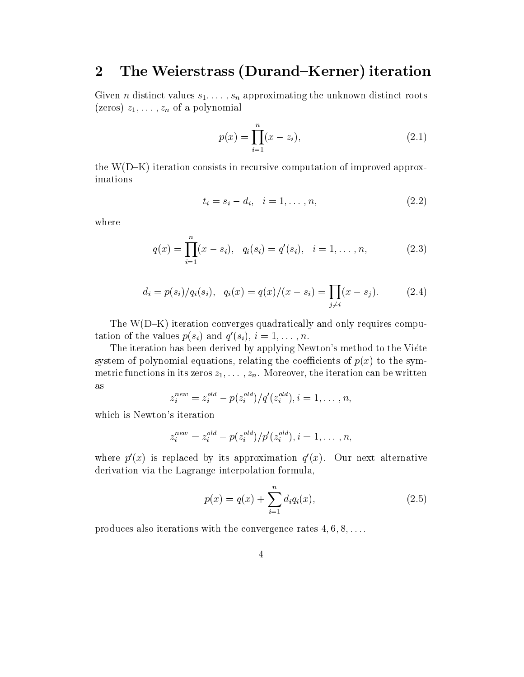#### 2The Weierstrass (Durand–Kerner) iteration

Given *n* distinct values  $s_1, \ldots, s_n$  approximating the unknown distinct roots (zeros)  $z_1,\ldots,z_n$  of a polynomial

$$
p(x) = \prod_{i=1}^{n} (x - z_i),
$$
\n(2.1)

the  $W(D-K)$  iteration consists in recursive computation of improved approximations

$$
t_i = s_i - d_i, \quad i = 1, \dots, n,
$$
\n
$$
(2.2)
$$

where

$$
q(x) = \prod_{i=1}^{n} (x - s_i), \quad q_i(s_i) = q'(s_i), \quad i = 1, ..., n,
$$
 (2.3)

$$
d_i = p(s_i)/q_i(s_i), \quad q_i(x) = q(x)/(x - s_i) = \prod_{j \neq i} (x - s_j).
$$
 (2.4)

The  $W(D-K)$  iteration converges quadratically and only requires computation of the values  $p(s_i)$  and  $q(s_i)$ ,  $i = 1, \ldots, n$ .

The iteration has been derived by applying Newton's method to the Viéte system of polynomial equations, relating the coefficients of  $p(x)$  to the symmetric functions in its zeros  $z_1, \ldots, z_n$ . Moreover, the iteration can be written as

$$
z_i^{new} = z_i^{old} - p(z_i^{old})/q'(z_i^{old}), i = 1, \ldots, n,
$$

which is Newton's iteration

$$
z_i^{new} = z_i^{old} - p(z_i^{old})/p'(z_i^{old}), i = 1, \ldots, n,
$$

where  $p(x)$  is replaced by its approximation  $q(x)$ . Our next alternative derivation via the Lagrange interpolation formula,

$$
p(x) = q(x) + \sum_{i=1}^{n} d_i q_i(x),
$$
\n(2.5)

produces also iterations with the convergence rates  $4, 6, 8, \ldots$ .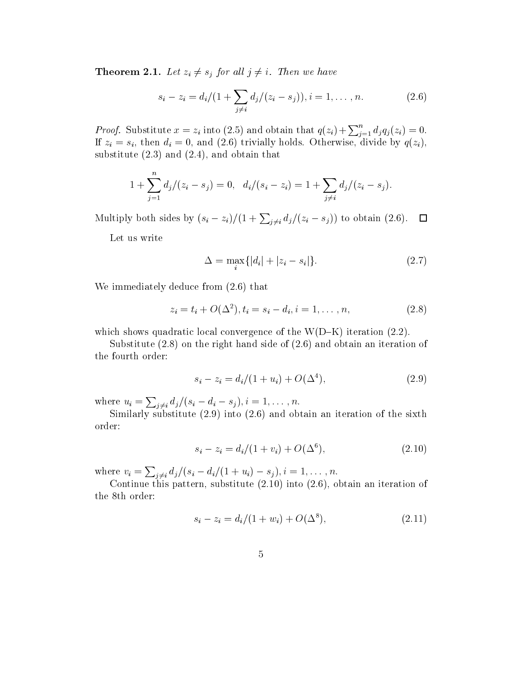**Theorem 2.1.** Let  $z_i \neq s_j$  for all  $j \neq i$ . Then we have

$$
s_i - z_i = d_i/(1 + \sum_{j \neq i} d_j/(z_i - s_j)), i = 1, ..., n.
$$
 (2.6)

*Proof.* Substitute  $x = z_i$  into (2.5) and obtain that  $q(z_i) + \sum_{i=1}^n d_i q_i(z_i) = 0$ . If  $\alpha$  , and  $\alpha$  is the diminister of  $\alpha$  and  $\alpha$  and  $\alpha$  and  $\alpha$  and  $\alpha$  and  $\alpha$   $\alpha$ ,  $\alpha$  ,  $\alpha$ substitute  $(2.3)$  and  $(2.4)$ , and obtain that

$$
1+\sum_{j=1}^n d_j/(z_i-s_j)=0, \ \ d_i/(s_i-z_i)=1+\sum_{j\neq i} d_j/(z_i-s_j).
$$

Multiply both sides by  $(s_i - z_i)/(1 + \sum_{i \neq i} d_j/(z_i - s_j))$  to obtain  $(2.6)$ .  $\Box$ 

Let us write

$$
\Delta = \max_{i} \{|d_i| + |z_i - s_i|\}.
$$
\n(2.7)

We immediately deduce from (2.6) that

$$
z_i = t_i + O(\Delta^2), t_i = s_i - d_i, i = 1, ..., n,
$$
\n(2.8)

which shows quadratic local convergence of the  $W(D-K)$  iteration (2.2).

Substitute (2.8) on the right hand side of (2.6) and obtain an iteration of the fourth order:

$$
s_i - z_i = d_i/(1 + u_i) + O(\Delta^4), \tag{2.9}
$$

where  $u_i = \sum_{j \neq i} d_j/(s_i - d_i - s_j), i = 1, \ldots, n.$ 

Similarly substitute (2.9) into (2.6) and obtain an iteration of the sixth order:

$$
s_i - z_i = d_i/(1 + v_i) + O(\Delta^6), \tag{2.10}
$$

where  $v_i = \sum_{j \neq i} d_j/(s_i - d_i/(1 + u_i) - s_j), i = 1, \ldots, n.$ 

Continue this pattern, substitute (2.10) into (2.6), obtain an iteration of the 8th order:

$$
s_i - z_i = d_i/(1 + w_i) + O(\Delta^8), \tag{2.11}
$$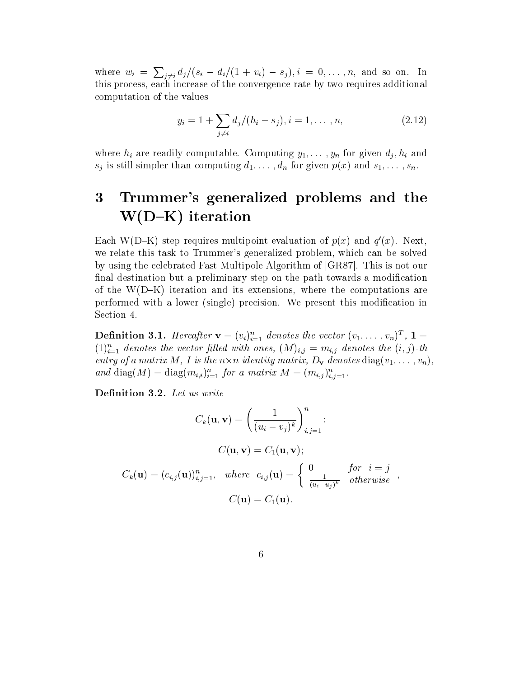where  $w_i = \sum_{i \neq i} d_i/(s_i - d_i/(1 + v_i) - s_j), i = 0, \ldots, n$ , and so on. In this process, each increase of the convergence rate by two requires additional computation of the values

$$
y_i = 1 + \sum_{j \neq i} d_j / (h_i - s_j), i = 1, ..., n,
$$
 (2.12)

where  $h_i$  are readily computable. Computing  $y_1, \ldots, y_n$  for given  $d_j, h_i$  and  $s_j$  is still simpler than computing  $d_1,\ldots,d_n$  for given  $p(x)$  and  $s_1,\ldots,s_n$ .

### 3 Trummer's generalized problems and the W(D{K) iteration

Each W(D-N) step requires multipoint evaluation of  $p(x)$  and  $q(x)$ . Next, we relate this task to Trummer's generalized problem, which can be solved by using the celebrated Fast Multipole Algorithm of [GR87]. This is not our final destination but a preliminary step on the path towards a modification of the  $W(D-K)$  iteration and its extensions, where the computations are performed with a lower (single) precision. We present this modication in Section 4.

**Definition 3.1.** Hereafter  $\mathbf{v} = (v_i)_{i=1}^T$  denotes the vector  $(v_1, \ldots, v_n)^T$ ,  $\mathbf{1} =$  $(1)_{i=1}$  denotes the vector flued with ones,  $(M)_{i,j} = m_{i,j}$  denotes the  $(i, j)$ -th entry of a matrix M, I is the  $n \times n$  identity matrix,  $D_{\mathbf{v}}$  denotes  $diag(v_1,\ldots,v_n)$ , and diag(M)  $=$  diag( $m_{i,i}$ )<sub>i=1</sub> for a matrix  $M = (m_{i,j})_{i,j=1}$ .

Definition 3.2. Let us write

$$
C_k(\mathbf{u}, \mathbf{v}) = \left(\frac{1}{(u_i - v_j)^k}\right)_{i,j=1}^n;
$$
  
\n
$$
C(\mathbf{u}, \mathbf{v}) = C_1(\mathbf{u}, \mathbf{v});
$$
  
\n
$$
C_k(\mathbf{u}) = (c_{i,j}(\mathbf{u}))_{i,j=1}^n, \text{ where } c_{i,j}(\mathbf{u}) = \begin{cases} 0 & \text{for } i = j \\ \frac{1}{(u_i - u_j)^k} & \text{otherwise} \end{cases},
$$
  
\n
$$
C(\mathbf{u}) = C_1(\mathbf{u}).
$$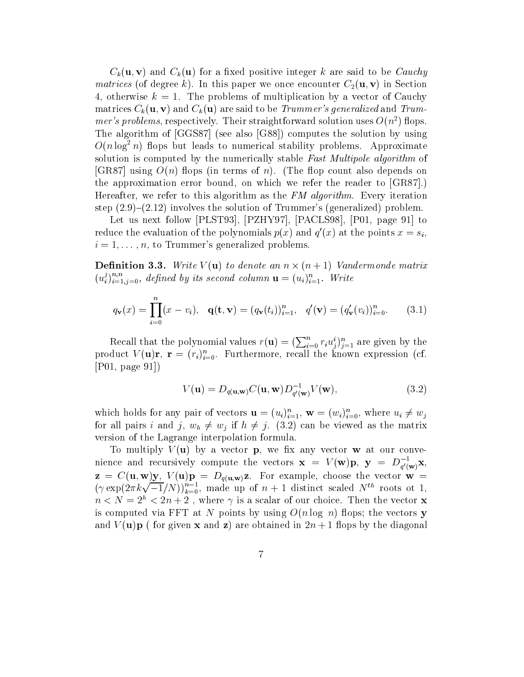$C_k(\mathbf{u}, \mathbf{v})$  and  $C_k(\mathbf{u})$  for a fixed positive integer k are said to be Cauchy matrices (of degree k). In this paper we once encounter  $C_2(\mathbf{u}, \mathbf{v})$  in Section 4, otherwise  $k = 1$ . The problems of multiplication by a vector of Cauchy matrices  $C_k(\mathbf{u}, \mathbf{v})$  and  $C_k(\mathbf{u})$  are said to be *Trummer's generalized* and *Trummer's problems*, respectively. Their straightforward solution uses  $O(n^2)$  flops. The algorithm of [GGS87] (see also [G88]) computes the solution by using  $O(n \log^2 n)$  flops but leads to numerical stability problems. Approximate solution is computed by the numerically stable Fast Multipole algorithm of [GR87] using  $O(n)$  flops (in terms of n). (The flop count also depends on the approximation error bound, on which we refer the reader to [GR87].) Hereafter, we refer to this algorithm as the FM algorithm. Every iteration step  $(2.9)-(2.12)$  involves the solution of Trummer's (generalized) problem.

Let us next follow [PLST93], [PZHY97], [PACLS98], [P01, page 91] to reduce the evaluation of the polynomials  $p(x)$  and  $q(x)$  at the points  $x = s_i$ ,  $i = 1, \ldots, n$ , to Trummer's generalized problems.

**Definition 3.3.** Write  $V(\mathbf{u})$  to denote an  $n \times (n+1)$  Vandermonde matrix  $(u_i^j)_{i=1,i=0}^{\infty}$ , defined by its second column  $\mathbf{u}=(u_i)_{i=1}^{\infty}$ . Write

$$
q_{\mathbf{v}}(x) = \prod_{i=0}^{n} (x - v_i), \quad \mathbf{q}(\mathbf{t}, \mathbf{v}) = (q_{\mathbf{v}}(t_i))_{i=1}^{n}, \quad q'(\mathbf{v}) = (q'_{\mathbf{v}}(v_i))_{i=0}^{n}.
$$
 (3.1)

Recall that the polynomial values  $r(\mathbf{u})=(\sum_{i=0}^n r_i u_i^i)_{i=1}^n$  are given by the product  $V(\mathbf{u})\mathbf{r}$ ,  $\mathbf{r} = (r_i)_{i=0}$ . Furthermore, recall the known expression (cf. [P01, page 91])

$$
V(\mathbf{u}) = D_{q(\mathbf{u}, \mathbf{w})} C(\mathbf{u}, \mathbf{w}) D_{q'(\mathbf{w})}^{-1} V(\mathbf{w}), \qquad (3.2)
$$

which holds for any pair of vectors  $\mathbf{u} = (u_i)_{i=1}^n$ ,  $\mathbf{w} = (w_i)_{i=0}^n$ , where  $u_i \neq w_j$ for all pairs i and j,  $w_h \neq w_j$  if  $h \neq j$ . (3.2) can be viewed as the matrix version of the Lagrange interpolation formula.

To multiply  $V(\mathbf{u})$  by a vector **p**, we fix any vector **w** at our convenience and recursively compute the vectors  $\mathbf{x} = V(\mathbf{w})\mathbf{p}, \mathbf{y} = D_{q'(\mathbf{w})}^{-1}\mathbf{x}$  $q\cdot$  (w)  $\rightarrow$  $(\gamma \exp(2\pi k \sqrt{-1}/N))_{k=0}^{n-1}$ , made up of  $n+1$  distinct scaled  $N^{th}$  roots ot 1,  $n < N = 2<sup>h</sup> < 2n + 2$ , where  $\gamma$  is a scalar of our choice. Then the vector **x** is computed via FFT at N points by using  $O(n \log n)$  flops; the vectors y and  $V(\mathbf{u})\mathbf{p}$  (for given **x** and **z**) are obtained in  $2n + 1$  flops by the diagonal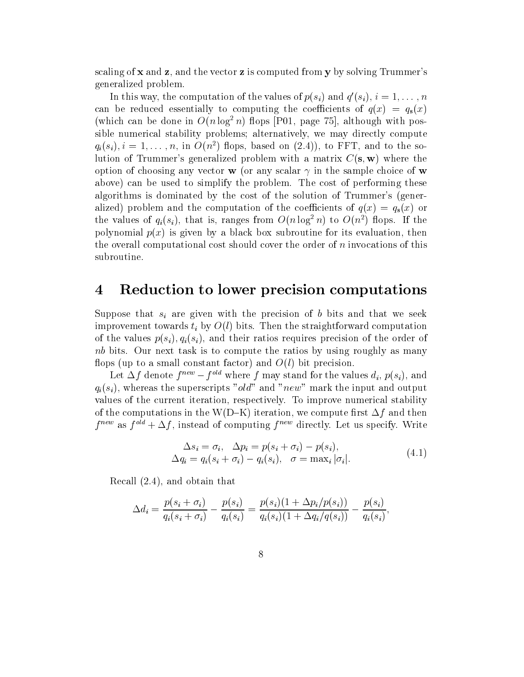scaling of  $x$  and  $z$ , and the vector  $z$  is computed from  $y$  by solving Trummer's generalized problem.

In this way, the computation of the values of  $p(s_i)$  and  $q(s_i)$ ,  $i = 1, \ldots, n$ can be reduced essentially to computing the coefficients of  $q(x) = q_s(x)$ (which can be done in  $O(n \log^2 n)$  flops [P01, page 75], although with possible numerical stability problems; alternatively, we may directly compute  $q_i(s_i), i = 1, \ldots, n$ , in  $O(n^2)$  flops, based on  $(2.4)$ , to FFT, and to the solution of Trummer's generalized problem with a matrix  $C(\mathbf{s}, \mathbf{w})$  where the option of choosing any vector **w** (or any scalar  $\gamma$  in the sample choice of **w** above) can be used to simplify the problem. The cost of performing these algorithms is dominated by the cost of the solution of Trummer's (generalized) problem and the computation of the coefficients of  $q(x) = q_s(x)$  or the values of  $q_i(s_i)$ , that is, ranges from  $O(n \log^2 n)$  to  $O(n^2)$  flops. If the polynomial  $p(x)$  is given by a black box subroutine for its evaluation, then the overall computational cost should cover the order of n invocations of this subroutine.

## Reduction to lower precision computations

Suppose that  $s_i$  are given with the precision of b bits and that we seek improvement towards  $t_i$  by  $O(l)$  bits. Then the straightforward computation of the values  $p(s_i), q_i(s_i)$ , and their ratios requires precision of the order of nb bits. Our next task is to compute the ratios by using roughly as many flops (up to a small constant factor) and  $O(l)$  bit precision.

Let  $\Delta f$  denote  $f^{new} - f^{old}$  where f may stand for the values  $d_i$ ,  $p(s_i)$ , and  $q_i(s_i)$ , whereas the superscripts "old" and "new" mark the input and output values of the current iteration, respectively. To improve numerical stability of the computations in the W(D-K) iteration, we compute first  $\Delta f$  and then  $f^{\text{max}}$  as  $f^{\text{max}} + \Delta f$ , instead of computing  $f^{\text{max}}$  directly. Let us specify. Write

$$
\Delta s_i = \sigma_i, \quad \Delta p_i = p(s_i + \sigma_i) - p(s_i),
$$
  
\n
$$
\Delta q_i = q_i(s_i + \sigma_i) - q_i(s_i), \quad \sigma = \max_i |\sigma_i|.
$$
\n(4.1)

Recall (2.4), and obtain that

$$
\Delta d_i = \frac{p(s_i + \sigma_i)}{q_i(s_i + \sigma_i)} - \frac{p(s_i)}{q_i(s_i)} = \frac{p(s_i)(1 + \Delta p_i/p(s_i))}{q_i(s_i)(1 + \Delta q_i/q(s_i))} - \frac{p(s_i)}{q_i(s_i)},
$$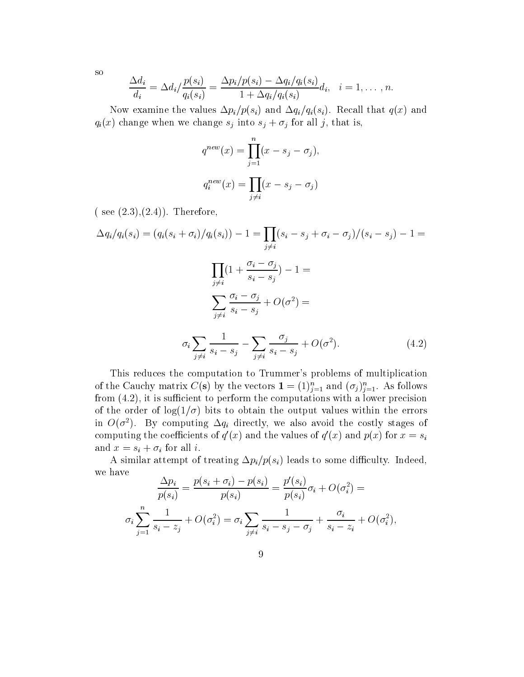so

$$
\frac{\Delta d_i}{d_i} = \Delta d_i / \frac{p(s_i)}{q_i(s_i)} = \frac{\Delta p_i / p(s_i) - \Delta q_i / q_i(s_i)}{1 + \Delta q_i / q_i(s_i)} d_i, \quad i = 1, \ldots, n.
$$

Now examine the values  $\Delta p_i/p(s_i)$  and  $\Delta q_i/q_i(s_i)$ . Recall that  $q(x)$  and  $q_i(x)$  change when we change  $s_j$  into  $s_j + \sigma_j$  for all j, that is,

$$
q^{new}(x) = \prod_{j=1}^{n} (x - s_j - \sigma_j),
$$
  

$$
q_i^{new}(x) = \prod_{j \neq i} (x - s_j - \sigma_j)
$$

 $( see (2.3), (2.4)).$  Therefore,

$$
\Delta q_i / q_i(s_i) = (q_i(s_i + \sigma_i) / q_i(s_i)) - 1 = \prod_{j \neq i} (s_i - s_j + \sigma_i - \sigma_j) / (s_i - s_j) - 1 =
$$
  

$$
\prod_{j \neq i} (1 + \frac{\sigma_i - \sigma_j}{s_i - s_j}) - 1 =
$$
  

$$
\sum_{j \neq i} \frac{\sigma_i - \sigma_j}{s_i - s_j} + O(\sigma^2) =
$$
  

$$
\sigma_i \sum_{j \neq i} \frac{1}{s_i - s_j} - \sum_{j \neq i} \frac{\sigma_j}{s_i - s_j} + O(\sigma^2).
$$
 (4.2)

This reduces the computation to Trummer's problems of multiplication of the Cauchy matrix  $C(S)$  by the vectors  $I = (1)_{i=1}^{\infty}$  and  $(\sigma_i)_{i=1}^{\infty}$ . As follows from  $(4.2)$ , it is sufficient to perform the computations with a lower precision of the order of  $log(1/\sigma)$  bits to obtain the output values within the errors in  $O(\sigma^2)$ . By computing  $\Delta q_i$  directly, we also avoid the costly stages of computing the coefficients of  $q(x)$  and the values of  $q(x)$  and  $p(x)$  for  $x = s_i$ and  $x = s_i + \sigma_i$  for all i.

A similar attempt of treating  $\Delta p_i/p(s_i)$  leads to some difficulty. Indeed, we have

$$
\frac{\Delta p_i}{p(s_i)} = \frac{p(s_i + \sigma_i) - p(s_i)}{p(s_i)} = \frac{p'(s_i)}{p(s_i)}\sigma_i + O(\sigma_i^2) =
$$
  

$$
\sigma_i \sum_{j=1}^n \frac{1}{s_i - z_j} + O(\sigma_i^2) = \sigma_i \sum_{j \neq i} \frac{1}{s_i - s_j - \sigma_j} + \frac{\sigma_i}{s_i - z_i} + O(\sigma_i^2),
$$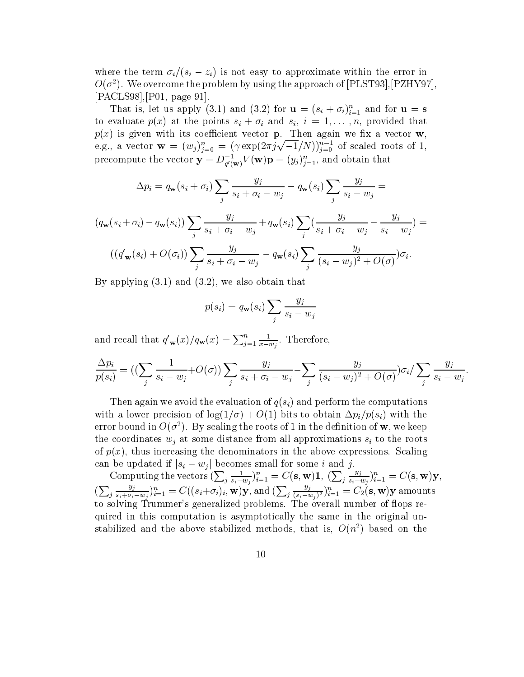where the term  $\sigma_i/(s_i - z_i)$  is not easy to approximate within the error in  $O(\sigma^2)$ . We overcome the problem by using the approach of [PLST93], [PZHY97], [PACLS98],[P01, page 91].

That is, let us apply (5.1) and (5.2) for  $\mathbf{u} = (s_i + o_i)_{i=1}$  and for  $\mathbf{u} = \mathbf{s}$ to evaluate  $p(x)$  at the points  $s_i + \sigma_i$  and  $s_i, i = 1, \ldots, n$ , provided that  $p$  is given when  $\alpha$  is coeciented vector  $p$  . Then an again we consider  $\alpha$  , where  $\alpha$ e.g., a vector  $\mathbf{w} = (w_j)_{i=0}^n = (\gamma \exp(2\pi j \sqrt{-1}/N))_{i=0}^{n-1}$  of scaled roots of 1, precompute the vector  $\mathbf{y} = D_{g'(\mathbf{w})} V(\mathbf{w}) \mathbf{p} = (y_j)_{j=1}^\infty$ , and obtain that

$$
\Delta p_i = q_{\mathbf{w}}(s_i + \sigma_i) \sum_j \frac{y_j}{s_i + \sigma_i - w_j} - q_{\mathbf{w}}(s_i) \sum_j \frac{y_j}{s_i - w_j} =
$$

$$
(q_{\mathbf{w}}(s_i + \sigma_i) - q_{\mathbf{w}}(s_i)) \sum_j \frac{y_j}{s_i + \sigma_i - w_j} + q_{\mathbf{w}}(s_i) \sum_j (\frac{y_j}{s_i + \sigma_i - w_j} - \frac{y_j}{s_i - w_j}) =
$$
  

$$
((q'_{\mathbf{w}}(s_i) + O(\sigma_i)) \sum_j \frac{y_j}{s_i + \sigma_i - w_j} - q_{\mathbf{w}}(s_i) \sum_j \frac{y_j}{(s_i - w_j)^2 + O(\sigma)}) \sigma_i.
$$

By applying (3.1) and (3.2), we also obtain that

$$
p(s_i) = q_{\mathbf{w}}(s_i) \sum_j \frac{y_j}{s_i - w_j}
$$

and recall that  $q'_{\mathbf{w}}(x)/q_{\mathbf{w}}(x) = \sum_{i=1}^n \frac{1}{x-w_i}$ .  $\overline{x-w_i}$ . Inerefore,

$$
\frac{\Delta p_i}{p(s_i)} = \left( \left( \sum_j \frac{1}{s_i - w_j} + O(\sigma) \right) \sum_j \frac{y_j}{s_i + \sigma_i - w_j} - \sum_j \frac{y_j}{(s_i - w_j)^2 + O(\sigma)} \right) \sigma_i / \sum_j \frac{y_j}{s_i - w_j}.
$$

Then again we avoid the evaluation of  $q(s_i)$  and perform the computations with a lower precision of  $\log(1/\sigma) + O(1)$  bits to obtain  $\Delta p_i/p(s_i)$  with the error bound in  $O(\sigma^2)$ . By scaling the roots of 1 in the definition of w, we keep the coordinates  $w_i$  at some distance from all approximations  $s_i$  to the roots of  $p(x)$ , thus increasing the denominators in the above expressions. Scaling can be updated if  $|s_i - w_j|$  becomes small for some i and j.

Computing the vectors  $(\sum_{i} \frac{1}{s_i - w_i})_{i=1}^n = C(\mathbf{s}, \mathbf{y})$  $\frac{1}{s_i - w_j} \}_{i=1}^n = C(\mathbf{s}, \mathbf{w}) \mathbf{1}, \ (\sum_j \frac{y_j}{s_i - w_j})_{i=1}^n = C(\mathbf{s}, \mathbf{w})$  $\frac{\partial f}{\partial s_i - w_j}$  )<sub>i=1</sub> = C(s, **w**)y,  $(\sum_{i} \frac{y_j}{s_i + \sigma_i - w_i})_{i=1}^n = C$  $\frac{y_j}{s_i+\sigma_i-w_i}\}_{i=1}^n=C((s_i+\sigma_i)_i,\mathbf{w})\mathbf{y}\text{, and }(\sum_j\frac{y_j}{(s_i-w_i)^2})_{i=1}^n=C_2(n)$  $(\sum_{j} \frac{y_j}{s_i + \sigma_i - w_j})_{i=1}^n = C((s_i + \sigma_i)_i, \mathbf{w})\mathbf{y}$ , and  $(\sum_{j} \frac{y_j}{(s_i - w_j)^2})_{i=1}^n = C_2(\mathbf{s}, \mathbf{w})\mathbf{y}$  amounts<br>to solving Trummer's generalized problems. The overall number of flops required in this computation is asymptotically the same in the original unstabilized and the above stabilized methods, that is,  $O(n^2)$  based on the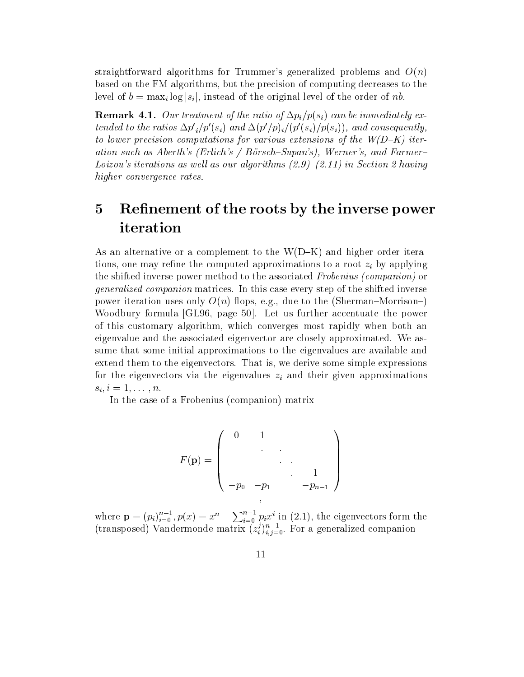straightforward algorithms for Trummer's generalized problems and  $O(n)$ based on the FM algorithms, but the precision of computing decreases to the level of  $b = \max_i log |s_i|$ , instead of the original level of the order of nb.

**Remark 4.1.** Our treatment of the ratio of  $\Delta p_i/p(s_i)$  can be immediately extended to the ratios  $\Delta p'_i/p'(s_i)$  and  $\Delta (p'/p)_i/(p'(s_i)/p(s_i))$ , and consequently, to lower precision computations for various extensions of the  $W(D-K)$  iteration such as Aberth's (Erlich's / Börsch-Supan's), Werner's, and Farmer-Loizou's iterations as well as our algorithms  $(2.9)-(2.11)$  in Section 2 having higher convergence rates.

### 5Refinement of the roots by the inverse power iteration

As an alternative or a complement to the  $W(D-K)$  and higher order iterations, one may refine the computed approximations to a root  $z_i$  by applying the shifted inverse power method to the associated Frobenius (companion) or generalized companion matrices. In this case every step of the shifted inverse power iteration uses only  $O(n)$  flops, e.g., due to the (Sherman–Morrison–) Woodbury formula [GL96, page 50]. Let us further accentuate the power of this customary algorithm, which converges most rapidly when both an eigenvalue and the associated eigenvector are closely approximated. We assume that some initial approximations to the eigenvalues are available and extend them to the eigenvectors. That is, we derive some simple expressions for the eigenvectors via the eigenvalues  $z_i$  and their given approximations  $s_i, i = 1,\ldots,n.$ 

In the case of a Frobenius (companion) matrix

$$
F(\mathbf{p}) = \begin{pmatrix} 0 & 1 & & & \\ & \ddots & \ddots & & \\ & & \ddots & \ddots & 1 \\ -p_0 & -p_1 & & -p_{n-1} \end{pmatrix}
$$

where  $\mathbf{p} = (p_i)_{i=0}^{n-1}, p(x) = x^n - \sum_{i=0}^{n-1} p_i x^i$  in (2.1), the eigenvectors form the (transposed) Vandermonde matrix  $(z_i^j)_{i,j=0}^n$ . For a generalized companion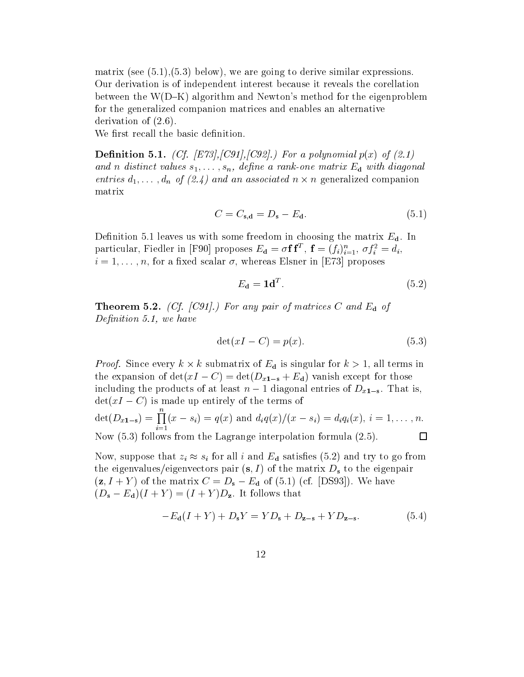matrix (see  $(5.1),(5.3)$  below), we are going to derive similar expressions. Our derivation is of independent interest because it reveals the corellation between the  $W(D-K)$  algorithm and Newton's method for the eigenproblem for the generalized companion matrices and enables an alternative derivation of (2.6).

We first recall the basic definition.

**Definition 5.1.** (Cf. [E73], [C91], [C92].) For a polynomial  $p(x)$  of (2.1) and n distinct values  $s_1, \ldots, s_n$ , define a rank-one matrix  $E_d$  with diagonal entries  $a_1, \ldots, a_n$  of (2.4) and an associated  $n \times n$  generalized companion matrix

$$
C = C_{\mathbf{s}, \mathbf{d}} = D_{\mathbf{s}} - E_{\mathbf{d}}.\tag{5.1}
$$

Definition 5.1 leaves us with some freedom in choosing the matrix  $E_d$ . In particular, Fiedler in [F90] proposes  $E_{\mathbf{d}} = \sigma \mathbf{I} \mathbf{I}$ ,  $\mathbf{I} = (f_i)_{i=1}^n$ ,  $\sigma f_i^* = a_i$ ,  $i = 1, \ldots, n$ , for a fixed scalar  $\sigma$ , whereas Elsner in [E73] proposes

$$
E_{\mathbf{d}} = \mathbf{1d}^T. \tag{5.2}
$$

**Theorem 5.2.** (Cf. [C91].) For any pair of matrices C and  $E_d$  of Definition 5.1, we have

$$
\det(xI - C) = p(x). \tag{5.3}
$$

*Proof.* Since every  $k \times k$  submatrix of  $E_d$  is singular for  $k > 1$ , all terms in the expansion of  $\det(xI - C) = \det(D_{x1-s} + E_d)$  vanish except for those including the products of at least  $n-1$  diagonal entries of  $D_{x1-s}$ . That is,  $\det(xI - C)$  is made up entirely of the terms of  $\det(D_{x1-s}) = \prod (x - s_i) = q(x)$  and  $d_i q(x)/(x - s_i) = d_i q_i(x), i = 1,...,n.$ Now (5.3) follows from the Lagrange interpolation formula (2.5).  $\Box$ 

Now, suppose that  $z_i \approx s_i$  for all i and  $E_d$  satisfies (5.2) and try to go from the eigenvalues/eigenvectors pair  $(s, I)$  of the matrix  $D_s$  to the eigenpair  $(z, I + Y)$  of the matrix  $C = D_s - E_d$  of (5.1) (cf. [DS93]). We have  $(D_s - E_d)(I + Y) = (I + Y)D_z$ . It follows that

$$
-E_{\mathbf{d}}(I+Y) + D_{\mathbf{s}}Y = YD_{\mathbf{s}} + D_{\mathbf{z}-\mathbf{s}} + YD_{\mathbf{z}-\mathbf{s}}.\tag{5.4}
$$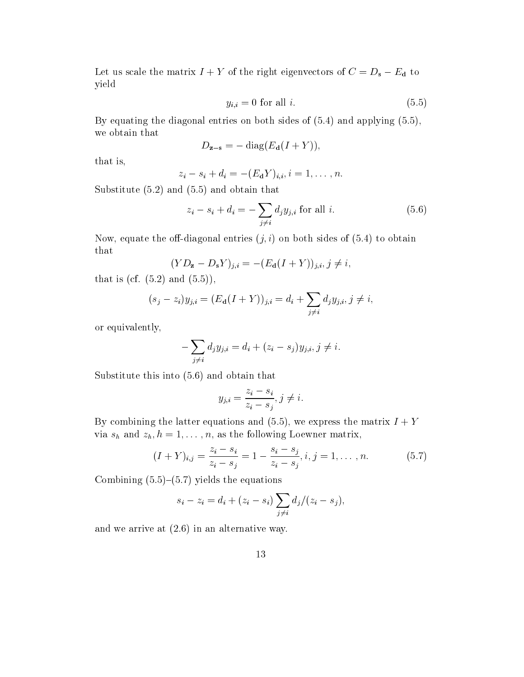Let us scale the matrix  $I+Y$  of the right eigenvectors of  $C=D_{\mathbf{s}}-E_{\mathbf{d}}$  to yield

$$
y_{i,i} = 0 \text{ for all } i. \tag{5.5}
$$

By equating the diagonal entries on both sides of (5.4) and applying (5.5), we obtain that

$$
D_{\mathbf{z}-\mathbf{s}} = -\operatorname{diag}(E_{\mathbf{d}}(I+Y)),
$$

that is,

$$
z_i - s_i + d_i = -(E_\mathbf{d} Y)_{i,i}, i = 1, \ldots, n.
$$

Substitute (5.2) and (5.5) and obtain that

$$
z_i - s_i + d_i = -\sum_{j \neq i} d_j y_{j,i} \text{ for all } i. \tag{5.6}
$$

Now, equate the off-diagonal entries  $(j, i)$  on both sides of  $(5.4)$  to obtain that

$$
(YD_{\mathbf{z}} - D_{\mathbf{s}}Y)_{j,i} = -(E_{\mathbf{d}}(I + Y))_{j,i}, j \neq i,
$$

that is (cf.  $(5.2)$  and  $(5.5)$ ),

$$
(s_j - z_i)y_{j,i} = (E_{\mathbf{d}}(I + Y))_{j,i} = d_i + \sum_{j \neq i} d_j y_{j,i}, j \neq i,
$$

or equivalently,

$$
-\sum_{j\neq i}d_jy_{j,i}=d_i+(z_i-s_j)y_{j,i}, j\neq i.
$$

Substitute this into (5.6) and obtain that

$$
y_{j,i} = \frac{z_i - s_i}{z_i - s_j}, j \neq i.
$$

By combining the latter equations and (5.5), we express the matrix  $I + Y$ via  $s_h$  and  $z_h$ ,  $h = 1, \ldots, n$ , as the following Loewner matrix,

$$
(I+Y)_{i,j} = \frac{z_i - s_i}{z_i - s_j} = 1 - \frac{s_i - s_j}{z_i - s_j}, i, j = 1, ..., n.
$$
 (5.7)

Combining  $(5.5)-(5.7)$  yields the equations

$$
s_i - z_i = d_i + (z_i - s_i) \sum_{j \neq i} d_j / (z_i - s_j),
$$

and we arrive at (2.6) in an alternative way.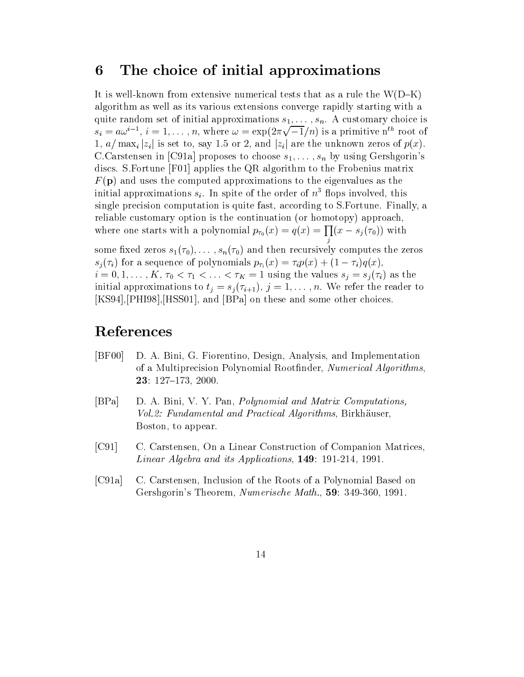#### 6The choice of initial approximations

It is well-known from extensive numerical tests that as a rule the  $W(D-K)$ algorithm as well as its various extensions converge rapidly starting with a quite random set of initial approximations  $s_1, \ldots, s_n$ . A customary choice is  $s_i = a\omega^{i-1}, i = 1,\ldots,n$ , where  $\omega = \exp(2\pi\sqrt{-1}/n)$  is a primitive n<sup>th</sup> root of 1,  $a/\max_i |z_i|$  is set to, say 1.5 or 2, and  $|z_i|$  are the unknown zeros of  $p(x)$ . C.Carstensen in [C91a] proposes to choose  $s_1,\ldots,s_n$  by using Gershgorin's discs. S.Fortune [F01] applies the QR algorithm to the Frobenius matrix  $F(\mathbf{p})$  and uses the computed approximations to the eigenvalues as the initial approximations  $s_i$ . In spite of the order of  $n^3$  flops involved, this single precision computation is quite fast, according to S.Fortune. Finally, a reliable customary option is the continuation (or homotopy) approach, where one starts with a polynomial  $p_{\tau_0}(x) = q(x) = \prod (x - s_i(\tau_0))$  with je poznata u predstavanje u predstavanje predstavanje u predstavanje u predstavanje u predstavanje u predstava  $\mathcal{L}$  is the series s<sub>1(0);</sub>::: ; s<sub>n(0)</sub> and then recursively computes the zeros  $s_i(\tau_i)$  for a sequence of polynomials  $p_{\tau_i}(x) = \tau_i p(x) + (1 - \tau_i)q(x),$ 

 $i = 0, 1, \ldots, K, \tau_0 < \tau_1 < \ldots < \tau_K = 1$  using the values  $s_j = s_j(\tau_i)$  as the initial approximations to  $t_i = s_i(\tau_{i+1}), j = 1,\ldots,n$ . We refer the reader to [KS94],[PHI98],[HSS01], and [BPa] on these and some other choices.

## References

- [BF00] D. A. Bini, G. Fiorentino, Design, Analysis, and Implementation of a Multiprecision Polynomial Rootnder, Numerical Algorithms, **23**:  $127-173$ , 2000.
- [BPa] D. A. Bini, V. Y. Pan, Polynomial and Matrix Computations, Vol. 2: Fundamental and Practical Algorithms, Birkhäuser, Boston, to appear.
- [C91] C. Carstensen, On a Linear Construction of Companion Matrices, Linear Algebra and its Applications, 149: 191-214, 1991.
- [C91a] C. Carstensen, Inclusion of the Roots of a Polynomial Based on Gershgorin's Theorem, Numerische Math., 59: 349-360, 1991.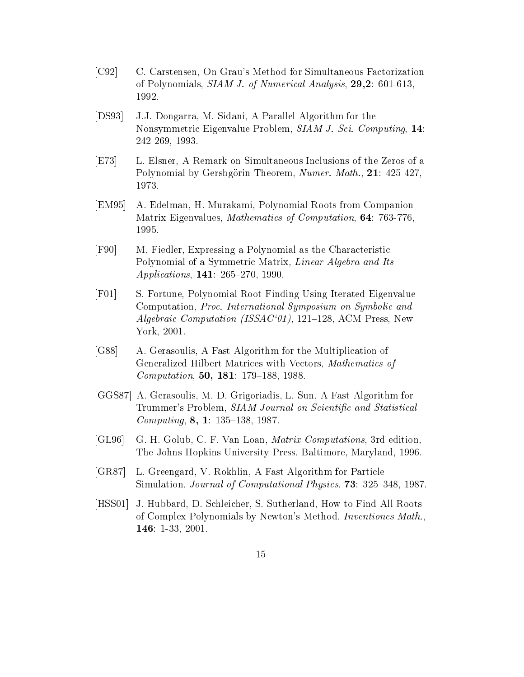- [C92] C. Carstensen, On Grau's Method for Simultaneous Factorization of Polynomials, SIAM J. of Numerical Analysis, 29,2: 601-613, 1992.
- [DS93] J.J. Dongarra, M. Sidani, A Parallel Algorithm for the Nonsymmetric Eigenvalue Problem, SIAM J. Sci. Computing, 14: 242-269, 1993.
- [E73] L. Elsner, A Remark on Simultaneous Inclusions of the Zeros of a Polynomial by Gershgörin Theorem, Numer. Math., 21: 425-427, 1973.
- [EM95] A. Edelman, H. Murakami, Polynomial Roots from Companion Matrix Eigenvalues, Mathematics of Computation, 64: 763-776, 1995.
- [F90] M. Fiedler, Expressing a Polynomial as the Characteristic Polynomial of a Symmetric Matrix, Linear Algebra and Its Applications,  $141: 265-270, 1990.$
- [F01] S. Fortune, Polynomial Root Finding Using Iterated Eigenvalue Computation, Proc. International Symposium on Symbolic and Algebraic Computation (ISSAC'01), 121-128, ACM Press, New York, 2001.
- [G88] A. Gerasoulis, A Fast Algorithm for the Multiplication of Generalized Hilbert Matrices with Vectors, Mathematics of Computation, 50, 181: 179-188, 1988.
- [GGS87] A. Gerasoulis, M. D. Grigoriadis, L. Sun, A Fast Algorithm for Trummer's Problem, SIAM Journal on Scientific and Statistical Computing,  $8, 1: 135-138, 1987.$
- [GL96] G. H. Golub, C. F. Van Loan, Matrix Computations, 3rd edition, The Johns Hopkins University Press, Baltimore, Maryland, 1996.
- [GR87] L. Greengard, V. Rokhlin, A Fast Algorithm for Particle Simulation, *Journal of Computational Physics*, **73**: 325–348, 1987.
- [HSS01] J. Hubbard, D. Schleicher, S. Sutherland, How to Find All Roots of Complex Polynomials by Newton's Method, Inventiones Math., 146: 1-33, 2001.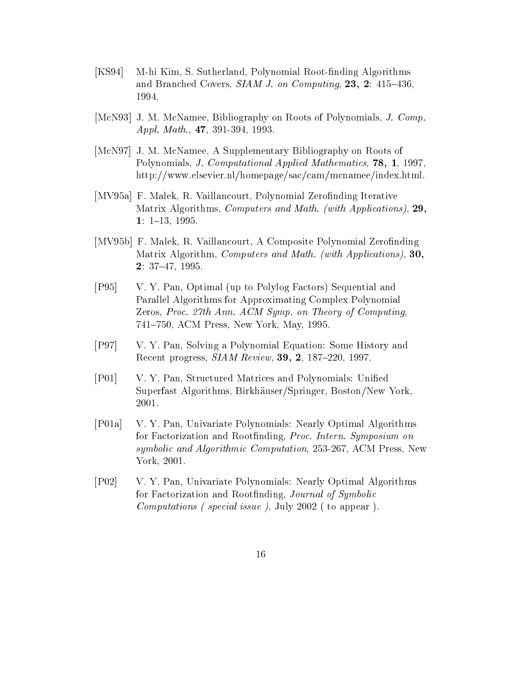- $[KS94]$ M-hi Kim, S. Sutherland, Polynomial Root-finding Algorithms and Branched Covers,  $SIAM$  J. on Computing, 23, 2: 415-436, 1994.
- [McN93] J. M. McNamee, Bibliography on Roots of Polynomials, J. Comp. Appl. Math., 47, 391-394, 1993.
- [McN97] J. M. McNamee, A Supplementary Bibliography on Roots of Polynomials, J. Computational Applied Mathematics, 78, 1, 1997, http://www.elsevier.nl/homepage/sac/cam/mcnamee/index.html.
- [MV95a] F. Malek, R. Vaillancourt, Polynomial Zerofinding Iterative Matrix Algorithms, Computers and Math. (with Applications), 29, 1:  $1-13$ , 1995.
- [MV95b] F. Malek, R. Vaillancourt, A Composite Polynomial Zerofinding Matrix Algorithm, Computers and Math. (with Applications), 30,  $2: 37-47, 1995.$
- [P95] V. Y. Pan, Optimal (up to Polylog Factors) Sequential and Parallel Algorithms for Approximating Complex Polynomial Zeros, Proc. 27th Ann. ACM Symp. on Theory of Computing, 741-750, ACM Press, New York, May, 1995.
- [P97] V. Y. Pan, Solving a Polynomial Equation: Some History and Recent progress,  $SIAM$  Review, 39, 2, 187-220, 1997.
- [P01] V. Y. Pan, Structured Matrices and Polynomials: Unied Superfast Algorithms, Birkhauser/Springer, Boston/New York, 2001.
- [P01a] V. Y. Pan, Univariate Polynomials: Nearly Optimal Algorithms for Factorization and Rootfinding, Proc. Intern. Symposium on symbolic and Algorithmic Computation, 253-267, ACM Press, New York, 2001.
- [P02] V. Y. Pan, Univariate Polynomials: Nearly Optimal Algorithms for Factorization and Rootfinding, Journal of Symbolic Computations ( special issue ), July 2002 ( to appear ).